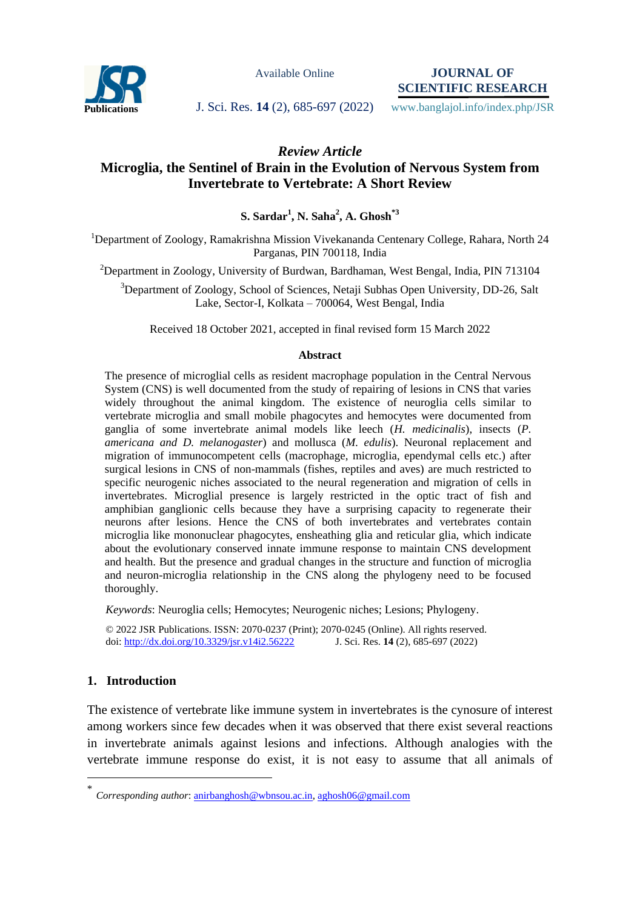

Available Online

**JOURNAL OF SCIENTIFIC RESEARCH**

**Publications J. Sci. Res. 14** (2), 685-697 (2022) www.banglajol.info/index.php/JSR

*Review Article*

# **Microglia, the Sentinel of Brain in the Evolution of Nervous System from Invertebrate to Vertebrate: A Short Review**

**S. Sardar<sup>1</sup> , N. Saha<sup>2</sup> , A. Ghosh\*3**

<sup>1</sup>Department of Zoology, Ramakrishna Mission Vivekananda Centenary College, Rahara, North 24 Parganas, PIN 700118, India

 $2$ Department in Zoology, University of Burdwan, Bardhaman, West Bengal, India, PIN 713104

<sup>3</sup>Department of Zoology, School of Sciences, Netaji Subhas Open University, DD-26, Salt Lake, Sector-I, Kolkata – 700064, West Bengal, India

Received 18 October 2021, accepted in final revised form 15 March 2022

#### **Abstract**

The presence of microglial cells as resident macrophage population in the Central Nervous System (CNS) is well documented from the study of repairing of lesions in CNS that varies widely throughout the animal kingdom. The existence of neuroglia cells similar to vertebrate microglia and small mobile phagocytes and hemocytes were documented from ganglia of some invertebrate animal models like leech (*H. medicinalis*), insects (*P. americana and D. melanogaster*) and mollusca (*M. edulis*). Neuronal replacement and migration of immunocompetent cells (macrophage, microglia, ependymal cells etc.) after surgical lesions in CNS of non-mammals (fishes, reptiles and aves) are much restricted to specific neurogenic niches associated to the neural regeneration and migration of cells in invertebrates. Microglial presence is largely restricted in the optic tract of fish and amphibian ganglionic cells because they have a surprising capacity to regenerate their neurons after lesions. Hence the CNS of both invertebrates and vertebrates contain microglia like mononuclear phagocytes, ensheathing glia and reticular glia, which indicate about the evolutionary conserved innate immune response to maintain CNS development and health. But the presence and gradual changes in the structure and function of microglia and neuron-microglia relationship in the CNS along the phylogeny need to be focused thoroughly.

*Keywords*: Neuroglia cells; Hemocytes; Neurogenic niches; Lesions; Phylogeny.

© 2022 JSR Publications. ISSN: 2070-0237 (Print); 2070-0245 (Online). All rights reserved. doi: http://dx.doi.org/10.3329/jsr.v14i2.56222

# **1. Introduction**

 $\overline{a}$ 

The existence of vertebrate like immune system in invertebrates is the cynosure of interest among workers since few decades when it was observed that there exist several reactions in invertebrate animals against lesions and infections. Although analogies with the vertebrate immune response do exist, it is not easy to assume that all animals of

<sup>\*</sup> *Corresponding author*[: anirbanghosh@wbnsou.ac.in,](mailto:anirbanghosh@wbnsou.ac.in) [aghosh06@gmail.com](mailto:aghosh06@gmail.com)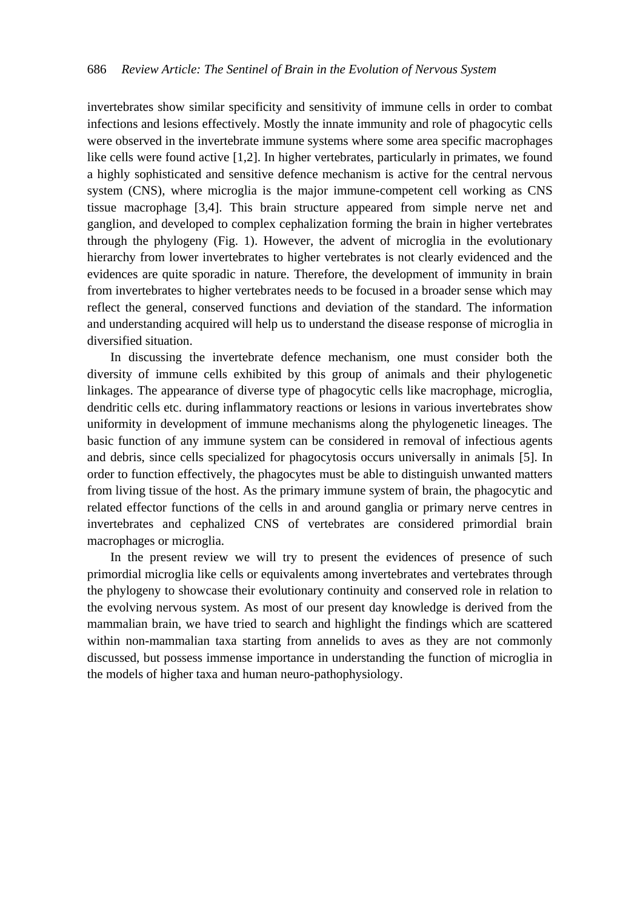invertebrates show similar specificity and sensitivity of immune cells in order to combat infections and lesions effectively. Mostly the innate immunity and role of phagocytic cells were observed in the invertebrate immune systems where some area specific macrophages like cells were found active [1,2]. In higher vertebrates, particularly in primates, we found a highly sophisticated and sensitive defence mechanism is active for the central nervous system (CNS), where microglia is the major immune-competent cell working as CNS tissue macrophage [3,4]. This brain structure appeared from simple nerve net and ganglion, and developed to complex cephalization forming the brain in higher vertebrates through the phylogeny (Fig. 1). However, the advent of microglia in the evolutionary hierarchy from lower invertebrates to higher vertebrates is not clearly evidenced and the evidences are quite sporadic in nature. Therefore, the development of immunity in brain from invertebrates to higher vertebrates needs to be focused in a broader sense which may reflect the general, conserved functions and deviation of the standard. The information and understanding acquired will help us to understand the disease response of microglia in diversified situation.

In discussing the invertebrate defence mechanism, one must consider both the diversity of immune cells exhibited by this group of animals and their phylogenetic linkages. The appearance of diverse type of phagocytic cells like macrophage, microglia, dendritic cells etc. during inflammatory reactions or lesions in various invertebrates show uniformity in development of immune mechanisms along the phylogenetic lineages. The basic function of any immune system can be considered in removal of infectious agents and debris, since cells specialized for phagocytosis occurs universally in animals [5]. In order to function effectively, the phagocytes must be able to distinguish unwanted matters from living tissue of the host. As the primary immune system of brain, the phagocytic and related effector functions of the cells in and around ganglia or primary nerve centres in invertebrates and cephalized CNS of vertebrates are considered primordial brain macrophages or microglia.

In the present review we will try to present the evidences of presence of such primordial microglia like cells or equivalents among invertebrates and vertebrates through the phylogeny to showcase their evolutionary continuity and conserved role in relation to the evolving nervous system. As most of our present day knowledge is derived from the mammalian brain, we have tried to search and highlight the findings which are scattered within non-mammalian taxa starting from annelids to aves as they are not commonly discussed, but possess immense importance in understanding the function of microglia in the models of higher taxa and human neuro-pathophysiology.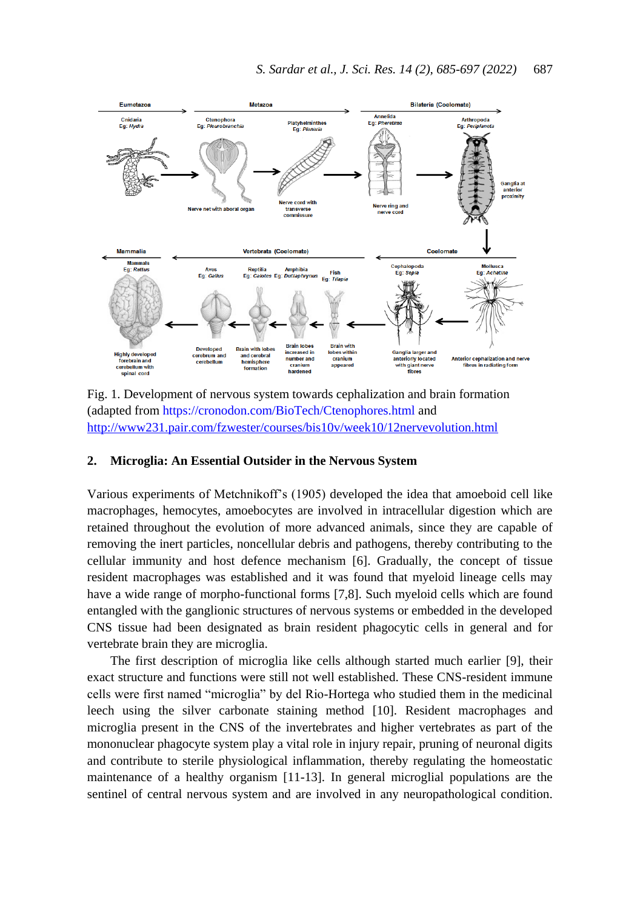

Fig. 1. Development of nervous system towards cephalization and brain formation (adapted from<https://cronodon.com/BioTech/Ctenophores.html> and <http://www231.pair.com/fzwester/courses/bis10v/week10/12nervevolution.html>

## **2. Microglia: An Essential Outsider in the Nervous System**

Various experiments of Metchnikoff's (1905) developed the idea that amoeboid cell like macrophages, hemocytes, amoebocytes are involved in intracellular digestion which are retained throughout the evolution of more advanced animals, since they are capable of removing the inert particles, noncellular debris and pathogens, thereby contributing to the cellular immunity and host defence mechanism [6]. Gradually, the concept of tissue resident macrophages was established and it was found that myeloid lineage cells may have a wide range of morpho-functional forms [7,8]. Such myeloid cells which are found entangled with the ganglionic structures of nervous systems or embedded in the developed CNS tissue had been designated as brain resident phagocytic cells in general and for vertebrate brain they are microglia.

The first description of microglia like cells although started much earlier [9], their exact structure and functions were still not well established. These CNS-resident immune cells were first named "microglia" by del Rio-Hortega who studied them in the medicinal leech using the silver carbonate staining method [10]. Resident macrophages and microglia present in the CNS of the invertebrates and higher vertebrates as part of the mononuclear phagocyte system play a vital role in injury repair, pruning of neuronal digits and contribute to sterile physiological inflammation, thereby regulating the homeostatic maintenance of a healthy organism [11-13]. In general microglial populations are the sentinel of central nervous system and are involved in any neuropathological condition.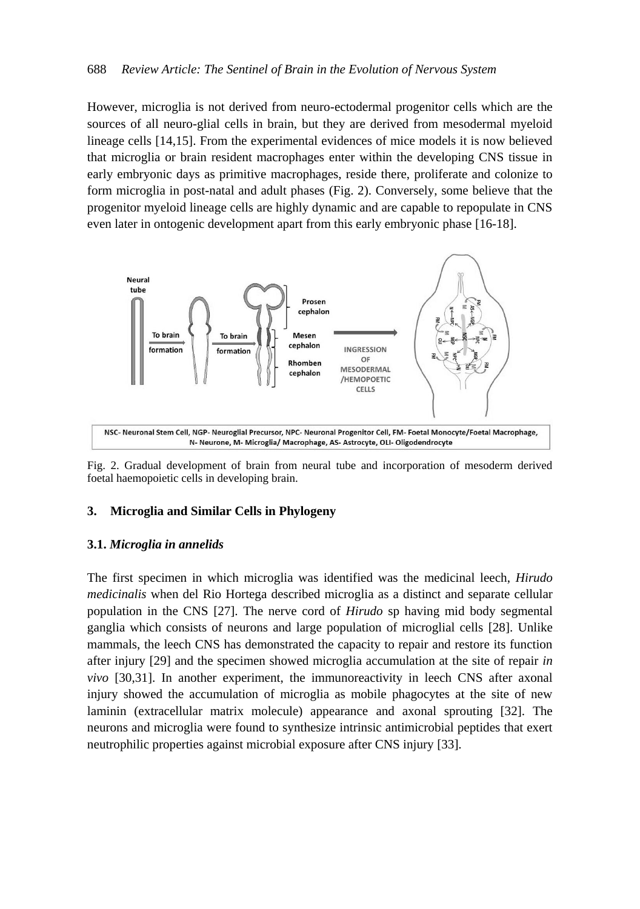However, microglia is not derived from neuro-ectodermal progenitor cells which are the sources of all neuro-glial cells in brain, but they are derived from mesodermal myeloid lineage cells [14,15]. From the experimental evidences of mice models it is now believed that microglia or brain resident macrophages enter within the developing CNS tissue in early embryonic days as primitive macrophages, reside there, proliferate and colonize to form microglia in post-natal and adult phases (Fig. 2). Conversely, some believe that the progenitor myeloid lineage cells are highly dynamic and are capable to repopulate in CNS even later in ontogenic development apart from this early embryonic phase [16-18].



Fig. 2. Gradual development of brain from neural tube and incorporation of mesoderm derived foetal haemopoietic cells in developing brain.

### **3. Microglia and Similar Cells in Phylogeny**

#### **3.1.** *Microglia in annelids*

The first specimen in which microglia was identified was the medicinal leech, *Hirudo medicinalis* when del Rio Hortega described microglia as a distinct and separate cellular population in the CNS [27]. The nerve cord of *Hirudo* sp having mid body segmental ganglia which consists of neurons and large population of microglial cells [28]. Unlike mammals, the leech CNS has demonstrated the capacity to repair and restore its function after injury [29] and the specimen showed microglia accumulation at the site of repair *in vivo* [30,31]. In another experiment, the immunoreactivity in leech CNS after axonal injury showed the accumulation of microglia as mobile phagocytes at the site of new laminin (extracellular matrix molecule) appearance and axonal sprouting [32]. The neurons and microglia were found to synthesize intrinsic antimicrobial peptides that exert neutrophilic properties against microbial exposure after CNS injury [33].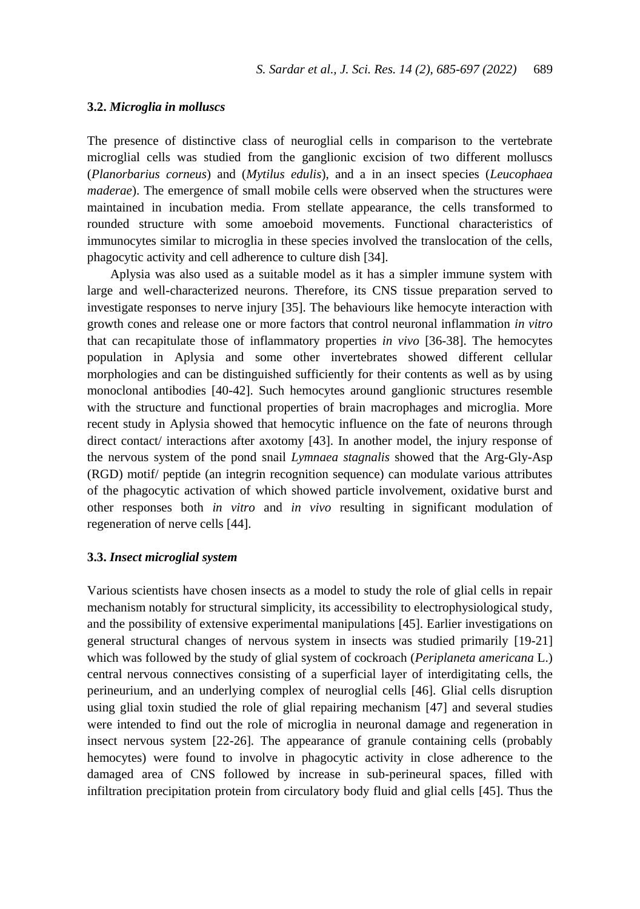#### **3.2.** *Microglia in molluscs*

The presence of distinctive class of neuroglial cells in comparison to the vertebrate microglial cells was studied from the ganglionic excision of two different molluscs (*Planorbarius corneus*) and (*Mytilus edulis*), and a in an insect species (*Leucophaea maderae*). The emergence of small mobile cells were observed when the structures were maintained in incubation media. From stellate appearance, the cells transformed to rounded structure with some amoeboid movements. Functional characteristics of immunocytes similar to microglia in these species involved the translocation of the cells, phagocytic activity and cell adherence to culture dish [34].

Aplysia was also used as a suitable model as it has a simpler immune system with large and well-characterized neurons. Therefore, its CNS tissue preparation served to investigate responses to nerve injury [35]. The behaviours like hemocyte interaction with growth cones and release one or more factors that control neuronal inflammation *in vitro* that can recapitulate those of inflammatory properties *in vivo* [36-38]. The hemocytes population in Aplysia and some other invertebrates showed different cellular morphologies and can be distinguished sufficiently for their contents as well as by using monoclonal antibodies [40-42]. Such hemocytes around ganglionic structures resemble with the structure and functional properties of brain macrophages and microglia. More recent study in Aplysia showed that hemocytic influence on the fate of neurons through direct contact/ interactions after axotomy [43]. In another model, the injury response of the nervous system of the pond snail *Lymnaea stagnalis* showed that the Arg-Gly-Asp (RGD) motif/ peptide (an integrin recognition sequence) can modulate various attributes of the phagocytic activation of which showed particle involvement, oxidative burst and other responses both *in vitro* and *in vivo* resulting in significant modulation of regeneration of nerve cells [44].

#### **3.3.** *Insect microglial system*

Various scientists have chosen insects as a model to study the role of glial cells in repair mechanism notably for structural simplicity, its accessibility to electrophysiological study, and the possibility of extensive experimental manipulations [45]. Earlier investigations on general structural changes of nervous system in insects was studied primarily [19-21] which was followed by the study of glial system of cockroach (*Periplaneta americana* L.) central nervous connectives consisting of a superficial layer of interdigitating cells, the perineurium, and an underlying complex of neuroglial cells [46]. Glial cells disruption using glial toxin studied the role of glial repairing mechanism [47] and several studies were intended to find out the role of microglia in neuronal damage and regeneration in insect nervous system [22-26]. The appearance of granule containing cells (probably hemocytes) were found to involve in phagocytic activity in close adherence to the damaged area of CNS followed by increase in sub-perineural spaces, filled with infiltration precipitation protein from circulatory body fluid and glial cells [45]. Thus the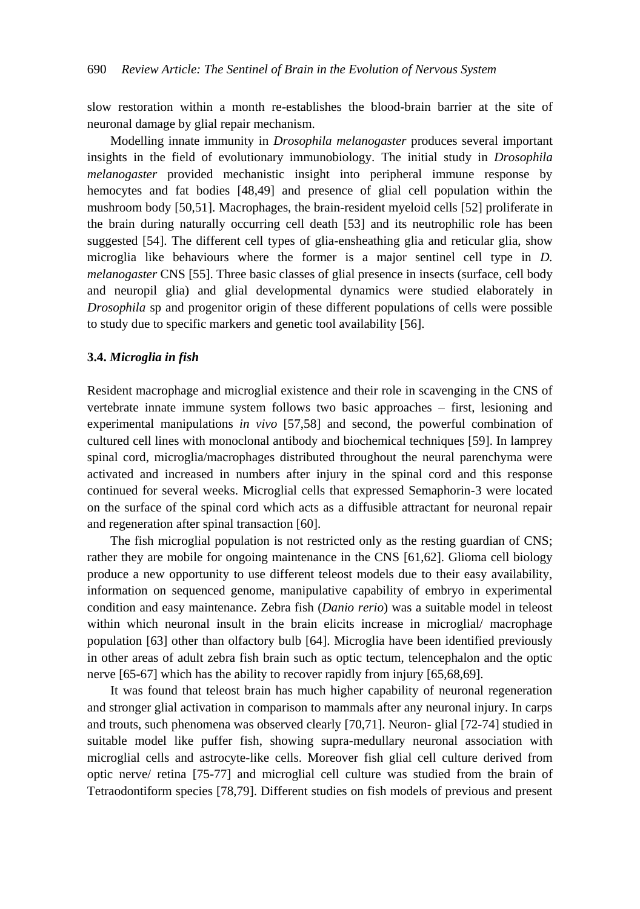slow restoration within a month re-establishes the blood-brain barrier at the site of neuronal damage by glial repair mechanism.

Modelling innate immunity in *Drosophila melanogaster* produces several important insights in the field of evolutionary immunobiology. The initial study in *Drosophila melanogaster* provided mechanistic insight into peripheral immune response by hemocytes and fat bodies [48,49] and presence of glial cell population within the mushroom body [50,51]. Macrophages, the brain-resident myeloid cells [52] proliferate in the brain during naturally occurring cell death [53] and its neutrophilic role has been suggested [54]. The different cell types of glia-ensheathing glia and reticular glia, show microglia like behaviours where the former is a major sentinel cell type in *D. melanogaster* CNS [55]. Three basic classes of glial presence in insects (surface, cell body and neuropil glia) and glial developmental dynamics were studied elaborately in *Drosophila* sp and progenitor origin of these different populations of cells were possible to study due to specific markers and genetic tool availability [56].

#### **3.4.** *Microglia in fish*

Resident macrophage and microglial existence and their role in scavenging in the CNS of vertebrate innate immune system follows two basic approaches – first, lesioning and experimental manipulations *in vivo* [57,58] and second, the powerful combination of cultured cell lines with monoclonal antibody and biochemical techniques [59]. In lamprey spinal cord, microglia/macrophages distributed throughout the neural parenchyma were activated and increased in numbers after injury in the spinal cord and this response continued for several weeks. Microglial cells that expressed Semaphorin-3 were located on the surface of the spinal cord which acts as a diffusible attractant for neuronal repair and regeneration after spinal transaction [60].

The fish microglial population is not restricted only as the resting guardian of CNS; rather they are mobile for ongoing maintenance in the CNS [61,62]. Glioma cell biology produce a new opportunity to use different teleost models due to their easy availability, information on sequenced genome, manipulative capability of embryo in experimental condition and easy maintenance. Zebra fish (*Danio rerio*) was a suitable model in teleost within which neuronal insult in the brain elicits increase in microglial/ macrophage population [63] other than olfactory bulb [64]. Microglia have been identified previously in other areas of adult zebra fish brain such as optic tectum, telencephalon and the optic nerve [65-67] which has the ability to recover rapidly from injury [65,68,69].

It was found that teleost brain has much higher capability of neuronal regeneration and stronger glial activation in comparison to mammals after any neuronal injury. In carps and trouts, such phenomena was observed clearly [70,71]. Neuron- glial [72-74] studied in suitable model like puffer fish, showing supra-medullary neuronal association with microglial cells and astrocyte-like cells. Moreover fish glial cell culture derived from optic nerve/ retina [75-77] and microglial cell culture was studied from the brain of Tetraodontiform species [78,79]. Different studies on fish models of previous and present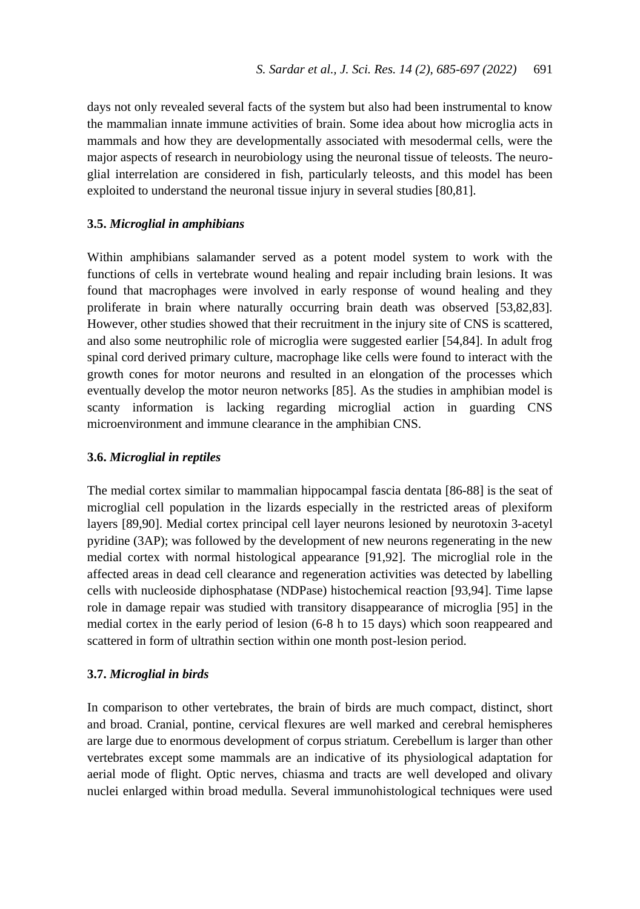days not only revealed several facts of the system but also had been instrumental to know the mammalian innate immune activities of brain. Some idea about how microglia acts in mammals and how they are developmentally associated with mesodermal cells, were the major aspects of research in neurobiology using the neuronal tissue of teleosts. The neuroglial interrelation are considered in fish, particularly teleosts, and this model has been exploited to understand the neuronal tissue injury in several studies [80,81].

#### **3.5.** *Microglial in amphibians*

Within amphibians salamander served as a potent model system to work with the functions of cells in vertebrate wound healing and repair including brain lesions. It was found that macrophages were involved in early response of wound healing and they proliferate in brain where naturally occurring brain death was observed [53,82,83]. However, other studies showed that their recruitment in the injury site of CNS is scattered, and also some neutrophilic role of microglia were suggested earlier [54,84]. In adult frog spinal cord derived primary culture, macrophage like cells were found to interact with the growth cones for motor neurons and resulted in an elongation of the processes which eventually develop the motor neuron networks [85]. As the studies in amphibian model is scanty information is lacking regarding microglial action in guarding CNS microenvironment and immune clearance in the amphibian CNS.

### **3.6.** *Microglial in reptiles*

The medial cortex similar to mammalian hippocampal fascia dentata [86-88] is the seat of microglial cell population in the lizards especially in the restricted areas of plexiform layers [89,90]. Medial cortex principal cell layer neurons lesioned by neurotoxin 3-acetyl pyridine (3AP); was followed by the development of new neurons regenerating in the new medial cortex with normal histological appearance [91,92]. The microglial role in the affected areas in dead cell clearance and regeneration activities was detected by labelling cells with nucleoside diphosphatase (NDPase) histochemical reaction [93,94]. Time lapse role in damage repair was studied with transitory disappearance of microglia [95] in the medial cortex in the early period of lesion (6-8 h to 15 days) which soon reappeared and scattered in form of ultrathin section within one month post-lesion period.

#### **3.7.** *Microglial in birds*

In comparison to other vertebrates, the brain of birds are much compact, distinct, short and broad. Cranial, pontine, cervical flexures are well marked and cerebral hemispheres are large due to enormous development of corpus striatum. Cerebellum is larger than other vertebrates except some mammals are an indicative of its physiological adaptation for aerial mode of flight. Optic nerves, chiasma and tracts are well developed and olivary nuclei enlarged within broad medulla. Several immunohistological techniques were used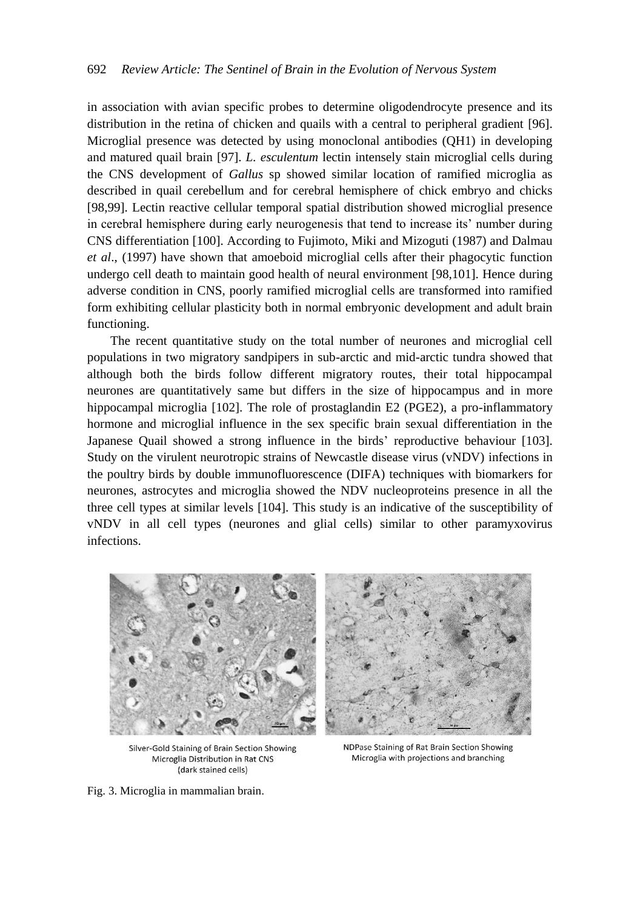in association with avian specific probes to determine oligodendrocyte presence and its distribution in the retina of chicken and quails with a central to peripheral gradient [96]. Microglial presence was detected by using monoclonal antibodies (QH1) in developing and matured quail brain [97]. *L. esculentum* lectin intensely stain microglial cells during the CNS development of *Gallus* sp showed similar location of ramified microglia as described in quail cerebellum and for cerebral hemisphere of chick embryo and chicks [98,99]. Lectin reactive cellular temporal spatial distribution showed microglial presence in cerebral hemisphere during early neurogenesis that tend to increase its' number during CNS differentiation [100]. According to Fujimoto, Miki and Mizoguti (1987) and Dalmau *et al*., (1997) have shown that amoeboid microglial cells after their phagocytic function undergo cell death to maintain good health of neural environment [98,101]. Hence during adverse condition in CNS, poorly ramified microglial cells are transformed into ramified form exhibiting cellular plasticity both in normal embryonic development and adult brain functioning.

The recent quantitative study on the total number of neurones and microglial cell populations in two migratory sandpipers in sub-arctic and mid-arctic tundra showed that although both the birds follow different migratory routes, their total hippocampal neurones are quantitatively same but differs in the size of hippocampus and in more hippocampal microglia [102]. The role of prostaglandin E2 (PGE2), a pro-inflammatory hormone and microglial influence in the sex specific brain sexual differentiation in the Japanese Quail showed a strong influence in the birds' reproductive behaviour [103]. Study on the virulent neurotropic strains of Newcastle disease virus (vNDV) infections in the poultry birds by double immunofluorescence (DIFA) techniques with biomarkers for neurones, astrocytes and microglia showed the NDV nucleoproteins presence in all the three cell types at similar levels [104]. This study is an indicative of the susceptibility of vNDV in all cell types (neurones and glial cells) similar to other paramyxovirus infections.



Silver-Gold Staining of Brain Section Showing Microglia Distribution in Rat CNS (dark stained cells)

NDPase Staining of Rat Brain Section Showing Microglia with projections and branching

Fig. 3. Microglia in mammalian brain.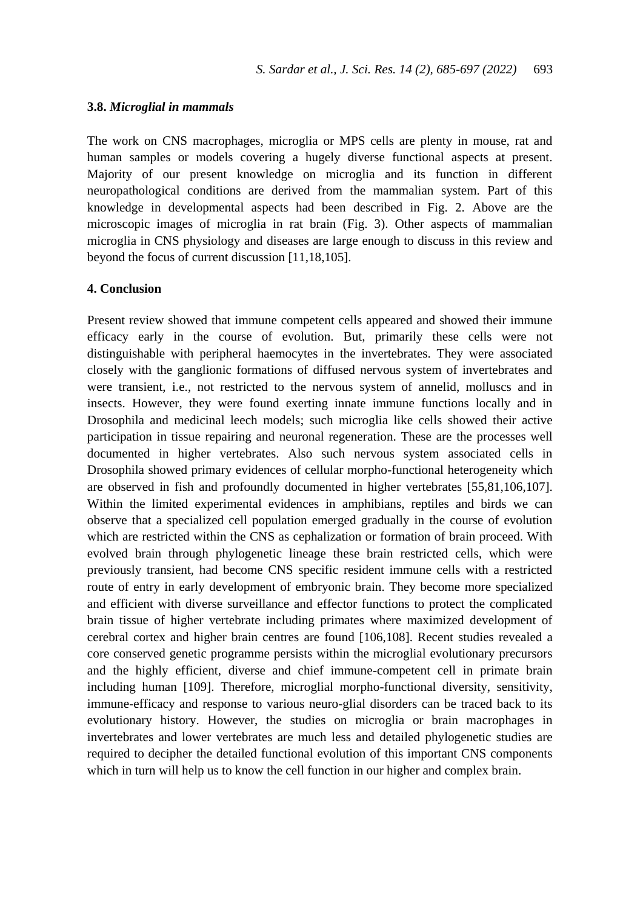#### **3.8.** *Microglial in mammals*

The work on CNS macrophages, microglia or MPS cells are plenty in mouse, rat and human samples or models covering a hugely diverse functional aspects at present. Majority of our present knowledge on microglia and its function in different neuropathological conditions are derived from the mammalian system. Part of this knowledge in developmental aspects had been described in Fig. 2. Above are the microscopic images of microglia in rat brain (Fig. 3). Other aspects of mammalian microglia in CNS physiology and diseases are large enough to discuss in this review and beyond the focus of current discussion [11,18,105].

# **4. Conclusion**

Present review showed that immune competent cells appeared and showed their immune efficacy early in the course of evolution. But, primarily these cells were not distinguishable with peripheral haemocytes in the invertebrates. They were associated closely with the ganglionic formations of diffused nervous system of invertebrates and were transient, i.e., not restricted to the nervous system of annelid, molluscs and in insects. However, they were found exerting innate immune functions locally and in Drosophila and medicinal leech models; such microglia like cells showed their active participation in tissue repairing and neuronal regeneration. These are the processes well documented in higher vertebrates. Also such nervous system associated cells in Drosophila showed primary evidences of cellular morpho-functional heterogeneity which are observed in fish and profoundly documented in higher vertebrates [55,81,106,107]. Within the limited experimental evidences in amphibians, reptiles and birds we can observe that a specialized cell population emerged gradually in the course of evolution which are restricted within the CNS as cephalization or formation of brain proceed. With evolved brain through phylogenetic lineage these brain restricted cells, which were previously transient, had become CNS specific resident immune cells with a restricted route of entry in early development of embryonic brain. They become more specialized and efficient with diverse surveillance and effector functions to protect the complicated brain tissue of higher vertebrate including primates where maximized development of cerebral cortex and higher brain centres are found [106,108]. Recent studies revealed a core conserved genetic programme persists within the microglial evolutionary precursors and the highly efficient, diverse and chief immune-competent cell in primate brain including human [109]. Therefore, microglial morpho-functional diversity, sensitivity, immune-efficacy and response to various neuro-glial disorders can be traced back to its evolutionary history. However, the studies on microglia or brain macrophages in invertebrates and lower vertebrates are much less and detailed phylogenetic studies are required to decipher the detailed functional evolution of this important CNS components which in turn will help us to know the cell function in our higher and complex brain.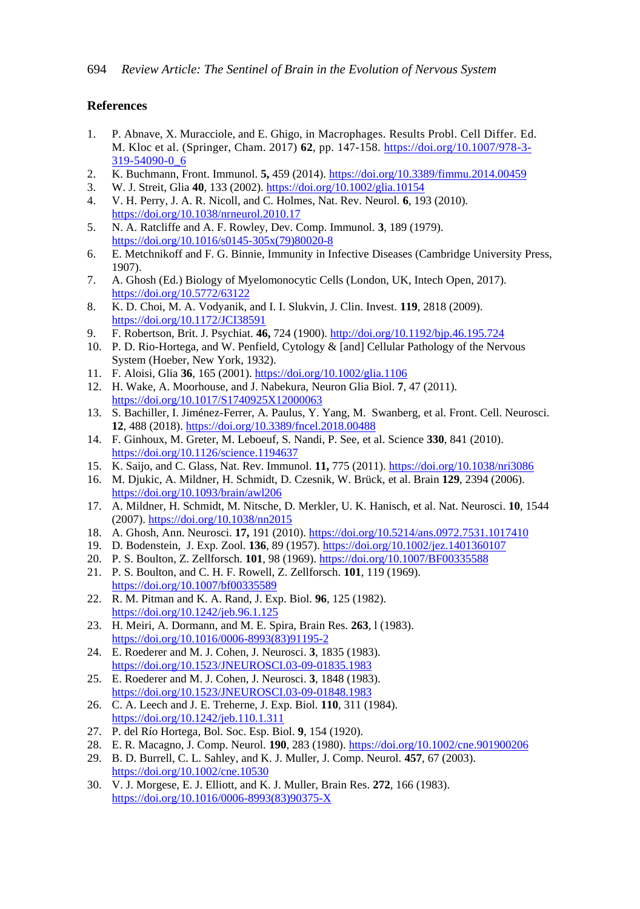## **References**

- 1. P. Abnave, X. Muracciole, and E. Ghigo, in Macrophages. Results Probl. Cell Differ. Ed. M. Kloc et al. (Springer, Cham. 2017) **62**, pp. 147-158. [https://doi.org/10.1007/978-3-](https://doi.org/10.1007/978-3-319-54090-0_6) [319-54090-0\\_6](https://doi.org/10.1007/978-3-319-54090-0_6)
- 2. K. Buchmann, Front. Immunol. **5,** 459 (2014)[. https://doi.org/10.3389/fimmu.2014.00459](https://doi.org/10.3389/fimmu.2014.00459)
- 3. W. J. Streit, Glia **40**, 133 (2002)[. https://doi.org/10.1002/glia.10154](https://doi.org/10.1002/glia.10154)
- 4. V. H. Perry, J. A. R. Nicoll, and C. Holmes, Nat. Rev. Neurol. **6**, 193 (2010). <https://doi.org/10.1038/nrneurol.2010.17>
- 5. N. A. Ratcliffe and A. F. Rowley, Dev. Comp. Immunol. **3**, 189 (1979). [https://doi.org/10.1016/s0145-305x\(79\)80020-8](https://doi.org/10.1016/s0145-305x(79)80020-8)
- 6. E. Metchnikoff and F. G. Binnie, Immunity in Infective Diseases (Cambridge University Press, 1907).
- 7. A. Ghosh (Ed.) Biology of Myelomonocytic Cells (London, UK, Intech Open, 2017). <https://doi.org/10.5772/63122>
- 8. K. D. Choi, M. A. Vodyanik, and I. I. Slukvin, J. Clin. Invest. **119**, 2818 (2009). <https://doi.org/10.1172/JCI38591>
- 9. F. Robertson, Brit. J. Psychiat. **46,** 724 (1900)[. http://doi.org/10.1192/bjp.46.195.724](http://doi.org/10.1192/bjp.46.195.724)
- 10. P. D. Rio-Hortega, and W. Penfield, Cytology & [and] Cellular Pathology of the Nervous System (Hoeber, New York, 1932).
- 11. F. Aloisi, Glia **36**, 165 (2001)[. https://doi.org/10.1002/glia.1106](https://doi.org/10.1002/glia.1106)
- 12. H. Wake, A. Moorhouse, and J. Nabekura, Neuron Glia Biol. **7**, 47 (2011). <https://doi.org/10.1017/S1740925X12000063>
- 13. S. Bachiller, I. Jiménez-Ferrer, A. Paulus, Y. Yang, M. Swanberg, et al. Front. Cell. Neurosci. **12**, 488 (2018).<https://doi.org/10.3389/fncel.2018.00488>
- 14. F. Ginhoux, M. Greter, M. Leboeuf, S. Nandi, P. See, et al. Science **330**, 841 (2010). <https://doi.org/10.1126/science.1194637>
- 15. K. Saijo, and C. Glass, Nat. Rev. Immunol. **11,** 775 (2011).<https://doi.org/10.1038/nri3086>
- 16. M. Djukic, A. Mildner, H. Schmidt, D. Czesnik, W. Brück, et al. Brain **129**, 2394 (2006). <https://doi.org/10.1093/brain/awl206>
- 17. A. Mildner, H. Schmidt, M. Nitsche, D. Merkler, U. K. Hanisch, et al. Nat. Neurosci. **10**, 1544 (2007)[. https://doi.org/10.1038/nn2015](https://doi.org/10.1038/nn2015)
- 18. A. Ghosh, Ann. Neurosci. **17,** 191 (2010).<https://doi.org/10.5214/ans.0972.7531.1017410>
- 19. D. Bodenstein, J. Exp. Zool. **136**, 89 (1957)[. https://doi.org/10.1002/jez.1401360107](https://doi.org/10.1002/jez.1401360107)
- 20. P. S. Boulton, Z. Zellforsch. **101**, 98 (1969).<https://doi.org/10.1007/BF00335588>
- 21. P. S. Boulton, and C. H. F. Rowell, Z. Zellforsch. **101**, 119 (1969). <https://doi.org/10.1007/bf00335589>
- 22. R. M. Pitman and K. A. Rand, J. Exp. Biol. **96**, 125 (1982). <https://doi.org/10.1242/jeb.96.1.125>
- 23. H. Meiri, A. Dormann, and M. E. Spira, Brain Res. **263**, l (1983). [https://doi.org/10.1016/0006-8993\(83\)91195-2](https://doi.org/10.1016/0006-8993(83)91195-2)
- 24. E. Roederer and M. J. Cohen, J. Neurosci. **3**, 1835 (1983). <https://doi.org/10.1523/JNEUROSCI.03-09-01835.1983>
- 25. E. Roederer and M. J. Cohen, J. Neurosci. **3**, 1848 (1983). <https://doi.org/10.1523/JNEUROSCI.03-09-01848.1983>
- 26. C. A. Leech and J. E. Treherne, J. Exp. Biol. **110**, 311 (1984). <https://doi.org/10.1242/jeb.110.1.311>
- 27. P. del Río Hortega, Bol. Soc. Esp. Biol. **9**, 154 (1920).
- 28. E. R. Macagno, J. Comp. Neurol. **190**, 283 (1980).<https://doi.org/10.1002/cne.901900206>
- 29. B. D. Burrell, C. L. Sahley, and K. J. Muller, J. Comp. Neurol*.* **457**, 67 (2003). <https://doi.org/10.1002/cne.10530>
- 30. V. J. Morgese, E. J. Elliott, and K. J. Muller, Brain Res. **272**, 166 (1983). [https://doi.org/10.1016/0006-8993\(83\)90375-X](https://doi.org/10.1016/0006-8993(83)90375-X)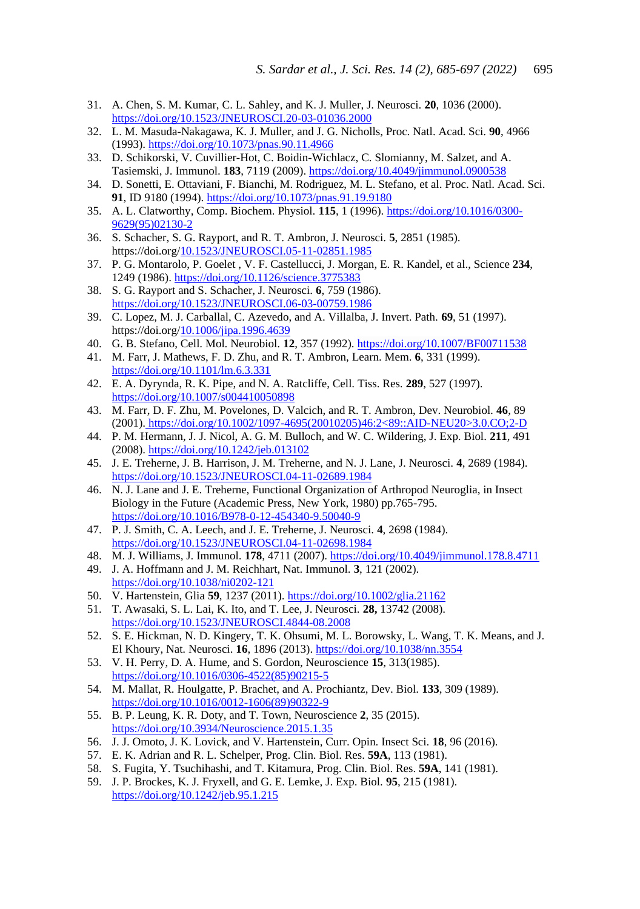- 31. A. Chen, S. M. Kumar, C. L. Sahley, and K. J. Muller, J. Neurosci. **20**, 1036 (2000). <https://doi.org/10.1523/JNEUROSCI.20-03-01036.2000>
- 32. L. M. Masuda-Nakagawa, K. J. Muller, and J. G. Nicholls, Proc. Natl. Acad. Sci. **90**, 4966 (1993)[. https://doi.org/10.1073/pnas.90.11.4966](https://doi.org/10.1073/pnas.90.11.4966)
- 33. D. Schikorski, V. Cuvillier-Hot, C. Boidin-Wichlacz, C. Slomianny, M. Salzet, and A. Tasiemski, J. Immunol. **183**, 7119 (2009).<https://doi.org/10.4049/jimmunol.0900538>
- 34. D. Sonetti, E. Ottaviani, F. Bianchi, M. Rodriguez, M. L. Stefano, et al. Proc. Natl. Acad. Sci. **91**, ID 9180 (1994).<https://doi.org/10.1073/pnas.91.19.9180>
- 35. A. L. Clatworthy, Comp. Biochem. Physiol. **115**, 1 (1996)[. https://doi.org/10.1016/0300-](https://doi.org/10.1016/0300-9629(95)02130-2) [9629\(95\)02130-2](https://doi.org/10.1016/0300-9629(95)02130-2)
- 36. S. Schacher, S. G. Rayport, and R. T. Ambron, J. Neurosci. **5**, 2851 (1985). https://doi.or[g/10.1523/JNEUROSCI.05-11-02851.1985](https://doi.org/10.1523/JNEUROSCI.05-11-02851.1985)
- 37. P. G. Montarolo, P. Goelet , V. F. Castellucci, J. Morgan, E. R. Kandel, et al., Science **234**, 1249 (1986).<https://doi.org/10.1126/science.3775383>
- 38. S. G. Rayport and S. Schacher, J. Neurosci. **6**, 759 (1986). <https://doi.org/10.1523/JNEUROSCI.06-03-00759.1986>
- 39. C. Lopez, M. J. Carballal, C. Azevedo, and A. Villalba, J. Invert. Path. **69**, 51 (1997). https://doi.or[g/10.1006/jipa.1996.4639](https://doi.org/10.1006/jipa.1996.4639)
- 40. G. B. Stefano, Cell. Mol. Neurobiol. **12**, 357 (1992)[. https://doi.org/10.1007/BF00711538](https://doi.org/10.1007/BF00711538)
- 41. M. Farr, J. Mathews, F. D. Zhu, and R. T. Ambron, Learn. Mem. **6**, 331 (1999). <https://doi.org/10.1101/lm.6.3.331>
- 42. E. A. Dyrynda, R. K. Pipe, and N. A. Ratcliffe, Cell. Tiss. Res. **289**, 527 (1997). <https://doi.org/10.1007/s004410050898>
- 43. M. Farr, D. F. Zhu, M. Povelones, D. Valcich, and R. T. Ambron, Dev. Neurobiol. **46**, 89 (2001). [https://doi.org/10.1002/1097-4695\(20010205\)46:2<89::AID-NEU20>3.0.CO;2-D](https://doi.org/10.1002/1097-4695(20010205)46:2%3c89::AID-NEU20%3e3.0.CO;2-D)
- 44. P. M. Hermann, J. J. Nicol, A. G. M. Bulloch, and W. C. Wildering, J. Exp. Biol. **211**, 491 (2008)[. https://doi.org/10.1242/jeb.013102](https://doi.org/10.1242/jeb.013102)
- 45. J. E. Treherne, J. B. Harrison, J. M. Treherne, and N. J. Lane, J. Neurosci. **4**, 2689 (1984). <https://doi.org/10.1523/JNEUROSCI.04-11-02689.1984>
- 46. N. J. Lane and J. E. Treherne, Functional Organization of Arthropod Neuroglia, in Insect Biology in the Future (Academic Press, New York, 1980) pp.765-795. <https://doi.org/10.1016/B978-0-12-454340-9.50040-9>
- 47. P. J. Smith, C. A. Leech, and J. E. Treherne, J. Neurosci. **4**, 2698 (1984). <https://doi.org/10.1523/JNEUROSCI.04-11-02698.1984>
- 48. M. J. Williams, J. Immunol. **178**, 4711 (2007)[. https://doi.org/10.4049/jimmunol.178.8.4711](https://doi.org/10.4049/jimmunol.178.8.4711)
- 49. J. A. Hoffmann and J. M. Reichhart, Nat. Immunol. **3**, 121 (2002). <https://doi.org/10.1038/ni0202-121>
- 50. V. Hartenstein, Glia **59**, 1237 (2011).<https://doi.org/10.1002/glia.21162>
- 51. T. Awasaki, S. L. Lai, K. Ito, and T. Lee, J. Neurosci. **28,** 13742 (2008). <https://doi.org/10.1523/JNEUROSCI.4844-08.2008>
- 52. S. E. Hickman, N. D. Kingery, T. K. Ohsumi, M. L. Borowsky, L. Wang, T. K. Means, and J. El Khoury, Nat. Neurosci. **16**, 1896 (2013).<https://doi.org/10.1038/nn.3554>
- 53. V. H. Perry, D. A. Hume, and S. Gordon, Neuroscience **15**, 313(1985). [https://doi.org/10.1016/0306-4522\(85\)90215-5](https://doi.org/10.1016/0306-4522(85)90215-5)
- 54. M. Mallat, R. Houlgatte, P. Brachet, and A. Prochiantz, Dev. Biol. **133**, 309 (1989). [https://doi.org/10.1016/0012-1606\(89\)90322-9](https://doi.org/10.1016/0012-1606(89)90322-9)
- 55. B. P. Leung, K. R. Doty, and T. Town, Neuroscience **2**, 35 (2015). <https://doi.org/10.3934/Neuroscience.2015.1.35>
- 56. J. J. Omoto, J. K. Lovick, and V. Hartenstein, Curr. Opin. Insect Sci. **18**, 96 (2016).
- 57. E. K. Adrian and R. L. Schelper, Prog. Clin. Biol. Res. **59A**, 113 (1981).
- 58. S. Fugita, Y. Tsuchihashi, and T. Kitamura, Prog. Clin. Biol. Res. **59A**, 141 (1981).
- 59. J. P. Brockes, K. J. Fryxell, and G. E. Lemke, J. Exp. Biol. **95**, 215 (1981[\).](https://doi.org/10.1242/jeb.95.1.215) <https://doi.org/10.1242/jeb.95.1.215>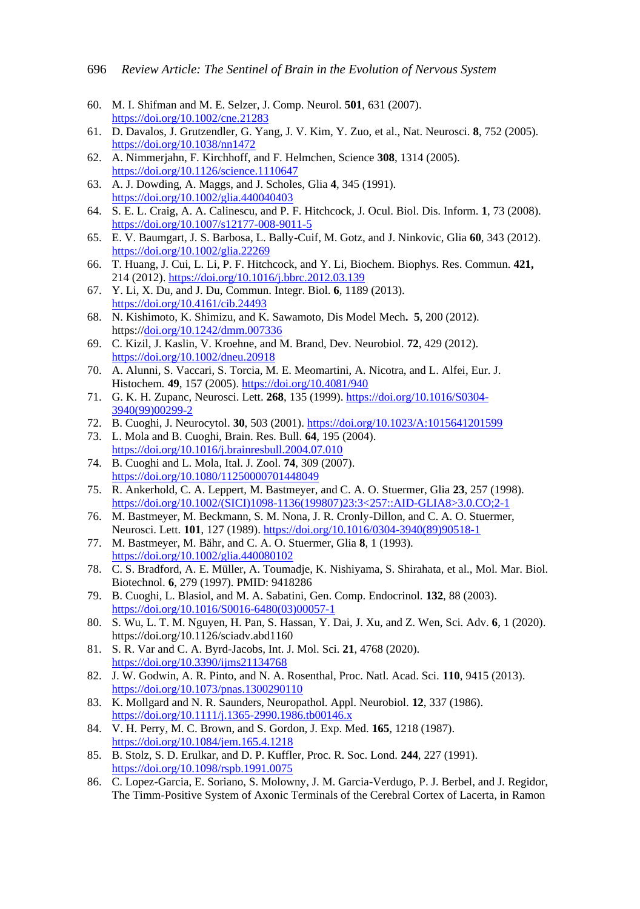- 60. M. I. Shifman and M. E. Selzer, J. Comp. Neurol. **501**, 631 (2007). <https://doi.org/10.1002/cne.21283>
- 61. D. Davalos, J. Grutzendler, G. Yang, J. V. Kim, Y. Zuo, et al., Nat. Neurosci. **8**, 752 (2005). <https://doi.org/10.1038/nn1472>
- 62. A. Nimmerjahn, F. Kirchhoff, and F. Helmchen, Science **308**, 1314 (2005). <https://doi.org/10.1126/science.1110647>
- 63. A. J. Dowding, A. Maggs, and J. Scholes, Glia **4**, 345 (1991). <https://doi.org/10.1002/glia.440040403>
- 64. S. E. L. Craig, A. A. Calinescu, and P. F. Hitchcock, J. Ocul. Biol. Dis. Inform. **1**, 73 (2008). <https://doi.org/10.1007/s12177-008-9011-5>
- 65. E. V. Baumgart, J. S. Barbosa, L. Bally-Cuif, M. Gotz, and J. Ninkovic, Glia **60**, 343 (2012[\).](https://doi.org/10.1002/glia.22269) <https://doi.org/10.1002/glia.22269>
- 66. T. Huang, J. Cui, L. Li, P. F. Hitchcock, and Y. Li, Biochem. Biophys. Res. Commun. **421,** 214 (2012)[. https://doi.org/10.1016/j.bbrc.2012.03.139](https://doi.org/10.1016/j.bbrc.2012.03.139)
- 67. Y. Li, X. Du, and J. Du, Commun. Integr. Biol. **6**, 1189 (2013). <https://doi.org/10.4161/cib.24493>
- 68. N. Kishimoto, K. Shimizu, and K. Sawamoto, Dis Model Mech**. 5**, 200 (2012). https:/[/doi.org/10.1242/dmm.007336](https://doi.org/10.1242/dmm.007336)
- 69. C. Kizil, J. Kaslin, V. Kroehne, and M. Brand, Dev. Neurobiol. **72**, 429 (2012). <https://doi.org/10.1002/dneu.20918>
- 70. A. Alunni, S. Vaccari, S. Torcia, M. E. Meomartini, A. Nicotra, and L. Alfei, Eur. J. Histochem*.* **49**, 157 (2005)[. https://doi.org/10.4081/940](https://doi.org/10.4081/940)
- 71. G. K. H. Zupanc, Neurosci. Lett. **268**, 135 (1999). [https://doi.org/10.1016/S0304-](https://doi.org/10.1016/S0304-3940(99)00299-2) [3940\(99\)00299-2](https://doi.org/10.1016/S0304-3940(99)00299-2)
- 72. B. Cuoghi, J. Neurocytol. **30**, 503 (2001)[. https://doi.org/10.1023/A:1015641201599](https://doi.org/10.1023/A:1015641201599)
- 73. L. Mola and B. Cuoghi, Brain. Res. Bull. **64**, 195 (2004). <https://doi.org/10.1016/j.brainresbull.2004.07.010>
- 74. B. Cuoghi and L. Mola, Ital. J. Zool. **74**, 309 (2007). <https://doi.org/10.1080/11250000701448049>
- 75. R. Ankerhold, C. A. Leppert, M. Bastmeyer, and C. A. O. Stuermer, Glia **23**, 257 (1998[\).](https://doi.org/10.1002/(SICI)1098-1136(199807)23:3%3c257::AID-GLIA8%3e3.0.CO;2-1) [https://doi.org/10.1002/\(SICI\)1098-1136\(199807\)23:3<257::AID-GLIA8>3.0.CO;2-1](https://doi.org/10.1002/(SICI)1098-1136(199807)23:3%3c257::AID-GLIA8%3e3.0.CO;2-1)
- 76. M. Bastmeyer, M. Beckmann, S. M. Nona, J. R. Cronly-Dillon, and C. A. O. Stuermer, Neurosci. Lett. **101**, 127 (1989)[. https://doi.org/10.1016/0304-3940\(89\)90518-1](https://doi.org/10.1016/0304-3940(89)90518-1)
- 77. M. Bastmeyer, M. Bähr, and C. A. O. Stuermer, Glia **8**, 1 (1993). <https://doi.org/10.1002/glia.440080102>
- 78. C. S. Bradford, A. E. Müller, A. Toumadje, K. Nishiyama, S. Shirahata, et al., Mol. Mar. Biol. Biotechnol. **6**, 279 (1997). PMID: 9418286
- 79. B. Cuoghi, L. Blasiol, and M. A. Sabatini, Gen. Comp. Endocrinol. **132**, 88 (2003). [https://doi.org/10.1016/S0016-6480\(03\)00057-1](https://doi.org/10.1016/S0016-6480(03)00057-1)
- 80. S. Wu, L. T. M. Nguyen, H. Pan, S. Hassan, Y. Dai, J. Xu, and Z. Wen, Sci. Adv. **6**, 1 (2020). https://doi.org/10.1126/sciadv.abd1160
- 81. S. R. Var and C. A. Byrd-Jacobs*,* Int. J. Mol. Sci. **21**, 4768 (2020). <https://doi.org/10.3390/ijms21134768>
- 82. J. W. Godwin, A. R. Pinto, and N. A. Rosenthal, Proc. Natl. Acad. Sci. **110**, 9415 (2013)[.](https://doi.org/10.1073/pnas.1300290110)  <https://doi.org/10.1073/pnas.1300290110>
- 83. K. Mollgard and N. R. Saunders, Neuropathol. Appl. Neurobiol. **12**, 337 (1986). <https://doi.org/10.1111/j.1365-2990.1986.tb00146.x>
- 84. V. H. Perry, M. C. Brown, and S. Gordon, J. Exp. Med. **165**, 1218 (1987). <https://doi.org/10.1084/jem.165.4.1218>
- 85. B. Stolz, S. D. Erulkar, and D. P. Kuffler, Proc. R. Soc. Lond. **244**, 227 (1991). <https://doi.org/10.1098/rspb.1991.0075>
- 86. C. Lopez-Garcia, E. Soriano, S. Molowny, J. M. Garcia-Verdugo, P. J. Berbel, and J. Regidor, The Timm-Positive System of Axonic Terminals of the Cerebral Cortex of Lacerta, in Ramon